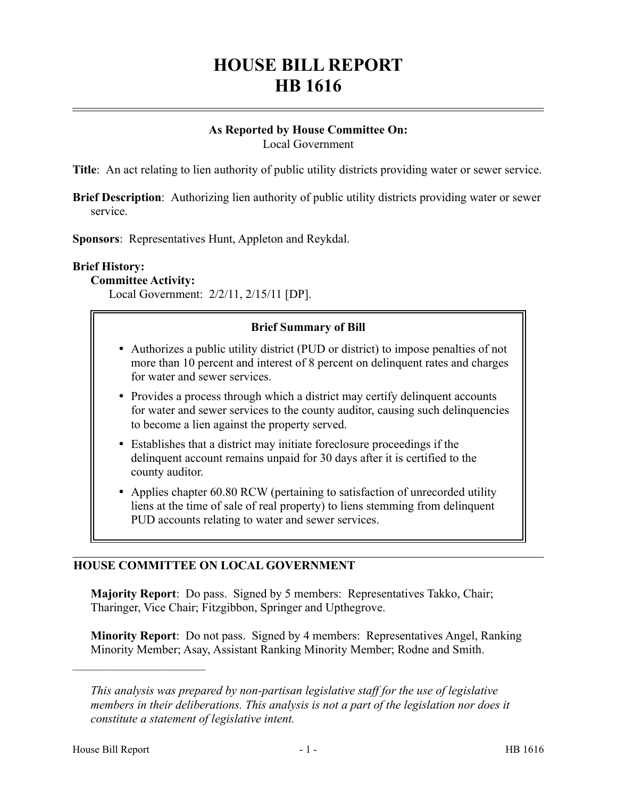# **HOUSE BILL REPORT HB 1616**

#### **As Reported by House Committee On:** Local Government

**Title**: An act relating to lien authority of public utility districts providing water or sewer service.

**Brief Description**: Authorizing lien authority of public utility districts providing water or sewer service.

**Sponsors**: Representatives Hunt, Appleton and Reykdal.

### **Brief History:**

**Committee Activity:**

Local Government: 2/2/11, 2/15/11 [DP].

### **Brief Summary of Bill**

- Authorizes a public utility district (PUD or district) to impose penalties of not more than 10 percent and interest of 8 percent on delinquent rates and charges for water and sewer services.
- Provides a process through which a district may certify delinquent accounts for water and sewer services to the county auditor, causing such delinquencies to become a lien against the property served.
- Establishes that a district may initiate foreclosure proceedings if the delinquent account remains unpaid for 30 days after it is certified to the county auditor.
- Applies chapter 60.80 RCW (pertaining to satisfaction of unrecorded utility liens at the time of sale of real property) to liens stemming from delinquent PUD accounts relating to water and sewer services.

## **HOUSE COMMITTEE ON LOCAL GOVERNMENT**

**Majority Report**: Do pass. Signed by 5 members: Representatives Takko, Chair; Tharinger, Vice Chair; Fitzgibbon, Springer and Upthegrove.

**Minority Report**: Do not pass. Signed by 4 members: Representatives Angel, Ranking Minority Member; Asay, Assistant Ranking Minority Member; Rodne and Smith.

––––––––––––––––––––––

*This analysis was prepared by non-partisan legislative staff for the use of legislative members in their deliberations. This analysis is not a part of the legislation nor does it constitute a statement of legislative intent.*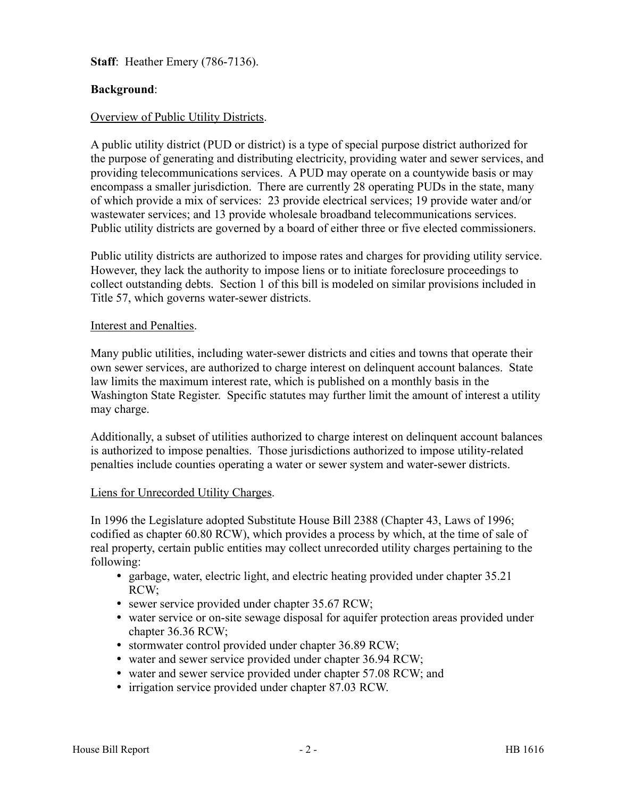**Staff**: Heather Emery (786-7136).

## **Background**:

#### Overview of Public Utility Districts.

A public utility district (PUD or district) is a type of special purpose district authorized for the purpose of generating and distributing electricity, providing water and sewer services, and providing telecommunications services. A PUD may operate on a countywide basis or may encompass a smaller jurisdiction. There are currently 28 operating PUDs in the state, many of which provide a mix of services: 23 provide electrical services; 19 provide water and/or wastewater services; and 13 provide wholesale broadband telecommunications services. Public utility districts are governed by a board of either three or five elected commissioners.

Public utility districts are authorized to impose rates and charges for providing utility service. However, they lack the authority to impose liens or to initiate foreclosure proceedings to collect outstanding debts. Section 1 of this bill is modeled on similar provisions included in Title 57, which governs water-sewer districts.

#### Interest and Penalties.

Many public utilities, including water-sewer districts and cities and towns that operate their own sewer services, are authorized to charge interest on delinquent account balances. State law limits the maximum interest rate, which is published on a monthly basis in the Washington State Register. Specific statutes may further limit the amount of interest a utility may charge.

Additionally, a subset of utilities authorized to charge interest on delinquent account balances is authorized to impose penalties. Those jurisdictions authorized to impose utility-related penalties include counties operating a water or sewer system and water-sewer districts.

#### Liens for Unrecorded Utility Charges.

In 1996 the Legislature adopted Substitute House Bill 2388 (Chapter 43, Laws of 1996; codified as chapter 60.80 RCW), which provides a process by which, at the time of sale of real property, certain public entities may collect unrecorded utility charges pertaining to the following:

- garbage, water, electric light, and electric heating provided under chapter 35.21 RCW;
- sewer service provided under chapter 35.67 RCW;
- water service or on-site sewage disposal for aquifer protection areas provided under chapter 36.36 RCW;
- stormwater control provided under chapter 36.89 RCW;
- water and sewer service provided under chapter 36.94 RCW;
- water and sewer service provided under chapter 57.08 RCW; and
- irrigation service provided under chapter 87.03 RCW.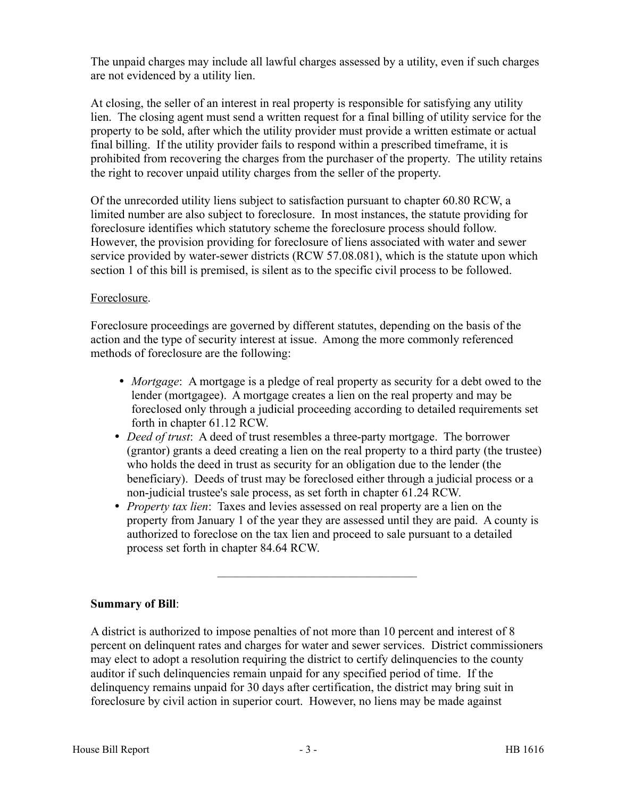The unpaid charges may include all lawful charges assessed by a utility, even if such charges are not evidenced by a utility lien.

At closing, the seller of an interest in real property is responsible for satisfying any utility lien. The closing agent must send a written request for a final billing of utility service for the property to be sold, after which the utility provider must provide a written estimate or actual final billing. If the utility provider fails to respond within a prescribed timeframe, it is prohibited from recovering the charges from the purchaser of the property. The utility retains the right to recover unpaid utility charges from the seller of the property.

Of the unrecorded utility liens subject to satisfaction pursuant to chapter 60.80 RCW, a limited number are also subject to foreclosure. In most instances, the statute providing for foreclosure identifies which statutory scheme the foreclosure process should follow. However, the provision providing for foreclosure of liens associated with water and sewer service provided by water-sewer districts (RCW 57.08.081), which is the statute upon which section 1 of this bill is premised, is silent as to the specific civil process to be followed.

## Foreclosure.

Foreclosure proceedings are governed by different statutes, depending on the basis of the action and the type of security interest at issue. Among the more commonly referenced methods of foreclosure are the following:

- *Mortgage*: A mortgage is a pledge of real property as security for a debt owed to the lender (mortgagee). A mortgage creates a lien on the real property and may be foreclosed only through a judicial proceeding according to detailed requirements set forth in chapter 61.12 RCW.
- *Deed of trust*: A deed of trust resembles a three-party mortgage. The borrower (grantor) grants a deed creating a lien on the real property to a third party (the trustee) who holds the deed in trust as security for an obligation due to the lender (the beneficiary). Deeds of trust may be foreclosed either through a judicial process or a non-judicial trustee's sale process, as set forth in chapter 61.24 RCW.
- *Property tax lien*: Taxes and levies assessed on real property are a lien on the property from January 1 of the year they are assessed until they are paid. A county is authorized to foreclose on the tax lien and proceed to sale pursuant to a detailed process set forth in chapter 84.64 RCW.

## **Summary of Bill**:

A district is authorized to impose penalties of not more than 10 percent and interest of 8 percent on delinquent rates and charges for water and sewer services. District commissioners may elect to adopt a resolution requiring the district to certify delinquencies to the county auditor if such delinquencies remain unpaid for any specified period of time. If the delinquency remains unpaid for 30 days after certification, the district may bring suit in foreclosure by civil action in superior court. However, no liens may be made against

–––––––––––––––––––––––––––––––––